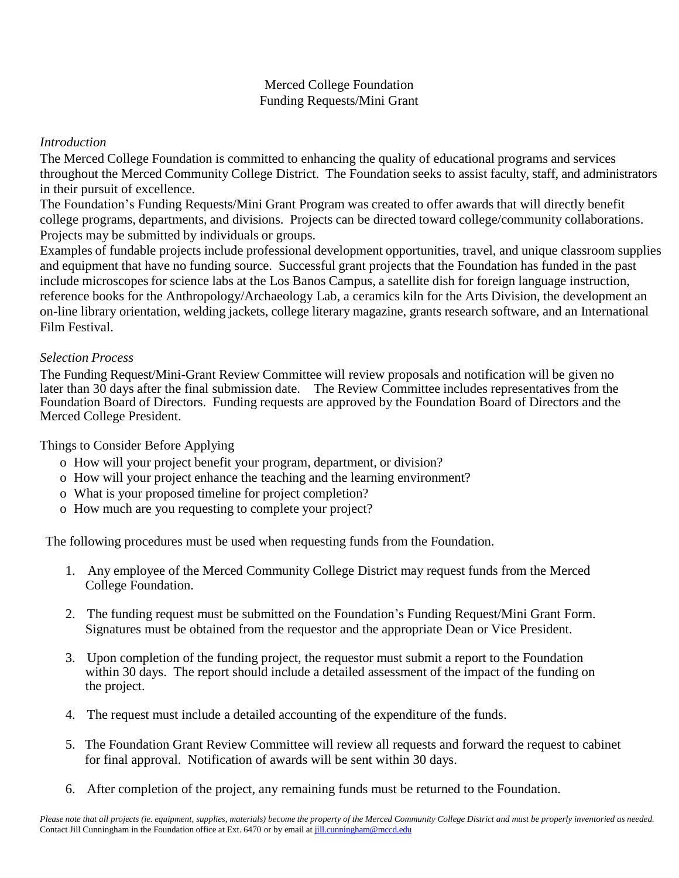## Merced College Foundation Funding Requests/Mini Grant

## *Introduction*

The Merced College Foundation is committed to enhancing the quality of educational programs and services throughout the Merced Community College District. The Foundation seeks to assist faculty, staff, and administrators in their pursuit of excellence.

The Foundation's Funding Requests/Mini Grant Program was created to offer awards that will directly benefit college programs, departments, and divisions. Projects can be directed toward college/community collaborations. Projects may be submitted by individuals or groups.

Examples of fundable projects include professional development opportunities, travel, and unique classroom supplies and equipment that have no funding source. Successful grant projects that the Foundation has funded in the past include microscopes for science labs at the Los Banos Campus, a satellite dish for foreign language instruction, reference books for the Anthropology/Archaeology Lab, a ceramics kiln for the Arts Division, the development an on-line library orientation, welding jackets, college literary magazine, grants research software, and an International Film Festival.

## *Selection Process*

The Funding Request/Mini-Grant Review Committee will review proposals and notification will be given no later than 30 days after the final submission date. The Review Committee includes representatives from the Foundation Board of Directors. Funding requests are approved by the Foundation Board of Directors and the Merced College President.

Things to Consider Before Applying

- o How will your project benefit your program, department, or division?
- o How will your project enhance the teaching and the learning environment?
- o What is your proposed timeline for project completion?
- o How much are you requesting to complete your project?

The following procedures must be used when requesting funds from the Foundation.

- 1. Any employee of the Merced Community College District may request funds from the Merced College Foundation.
- 2. The funding request must be submitted on the Foundation's Funding Request/Mini Grant Form. Signatures must be obtained from the requestor and the appropriate Dean or Vice President.
- 3. Upon completion of the funding project, the requestor must submit a report to the Foundation within 30 days. The report should include a detailed assessment of the impact of the funding on the project.
- 4. The request must include a detailed accounting of the expenditure of the funds.
- 5. The Foundation Grant Review Committee will review all requests and forward the request to cabinet for final approval. Notification of awards will be sent within 30 days.
- 6. After completion of the project, any remaining funds must be returned to the Foundation.